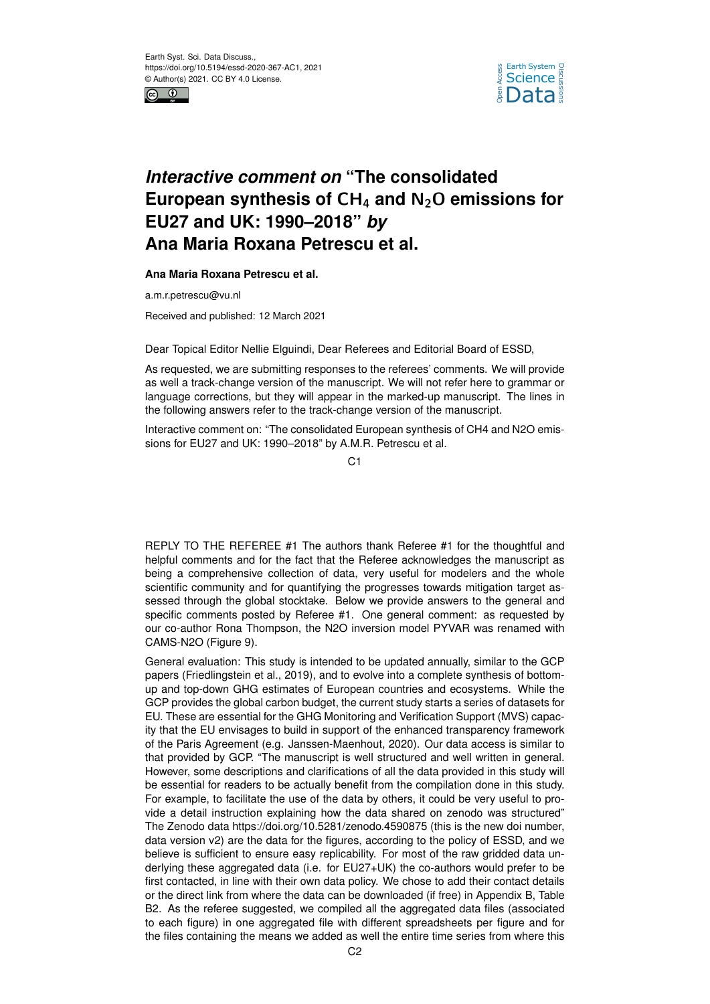



## *Interactive comment on* **"The consolidated European synthesis of** CH<sup>4</sup> **and** N2O **emissions for EU27 and UK: 1990–2018"** *by* **Ana Maria Roxana Petrescu et al.**

## **Ana Maria Roxana Petrescu et al.**

a.m.r.petrescu@vu.nl

Received and published: 12 March 2021

Dear Topical Editor Nellie Elguindi, Dear Referees and Editorial Board of ESSD,

As requested, we are submitting responses to the referees' comments. We will provide as well a track-change version of the manuscript. We will not refer here to grammar or language corrections, but they will appear in the marked-up manuscript. The lines in the following answers refer to the track-change version of the manuscript.

Interactive comment on: "The consolidated European synthesis of CH4 and N2O emissions for EU27 and UK: 1990–2018" by A.M.R. Petrescu et al.

 $C<sub>1</sub>$ 

REPLY TO THE REFEREE #1 The authors thank Referee #1 for the thoughtful and helpful comments and for the fact that the Referee acknowledges the manuscript as being a comprehensive collection of data, very useful for modelers and the whole scientific community and for quantifying the progresses towards mitigation target assessed through the global stocktake. Below we provide answers to the general and specific comments posted by Referee #1. One general comment: as requested by our co-author Rona Thompson, the N2O inversion model PYVAR was renamed with CAMS-N2O (Figure 9).

General evaluation: This study is intended to be updated annually, similar to the GCP papers (Friedlingstein et al., 2019), and to evolve into a complete synthesis of bottomup and top-down GHG estimates of European countries and ecosystems. While the GCP provides the global carbon budget, the current study starts a series of datasets for EU. These are essential for the GHG Monitoring and Verification Support (MVS) capacity that the EU envisages to build in support of the enhanced transparency framework of the Paris Agreement (e.g. Janssen-Maenhout, 2020). Our data access is similar to that provided by GCP. "The manuscript is well structured and well written in general. However, some descriptions and clarifications of all the data provided in this study will be essential for readers to be actually benefit from the compilation done in this study. For example, to facilitate the use of the data by others, it could be very useful to provide a detail instruction explaining how the data shared on zenodo was structured" The Zenodo data https://doi.org/10.5281/zenodo.4590875 (this is the new doi number, data version v2) are the data for the figures, according to the policy of ESSD, and we believe is sufficient to ensure easy replicability. For most of the raw gridded data underlying these aggregated data (i.e. for EU27+UK) the co-authors would prefer to be first contacted, in line with their own data policy. We chose to add their contact details or the direct link from where the data can be downloaded (if free) in Appendix B, Table B2. As the referee suggested, we compiled all the aggregated data files (associated to each figure) in one aggregated file with different spreadsheets per figure and for the files containing the means we added as well the entire time series from where this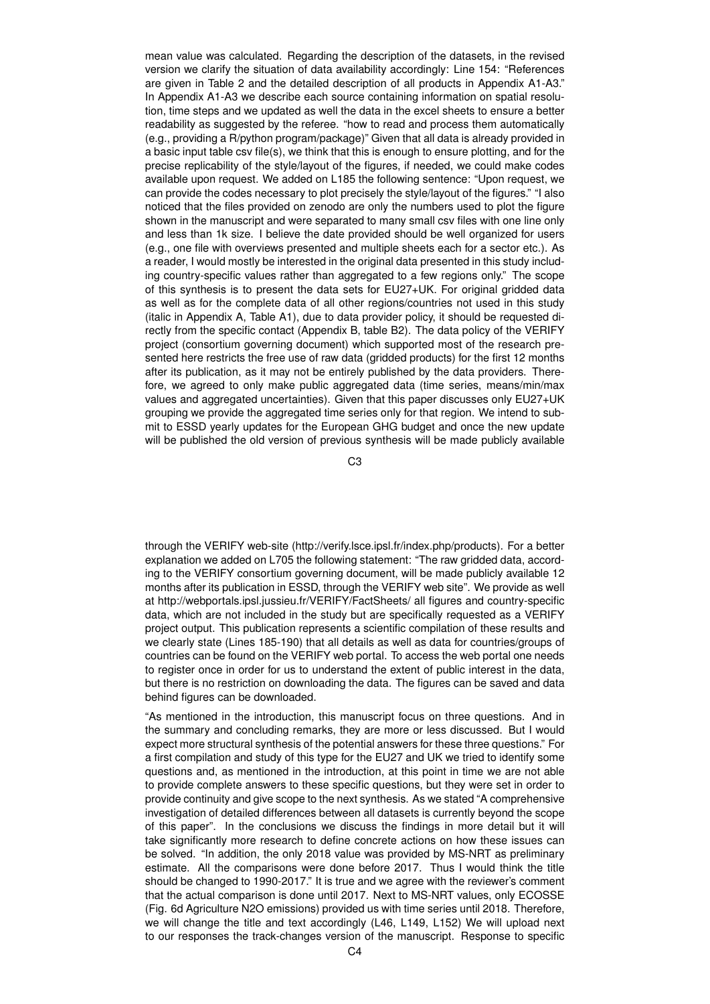mean value was calculated. Regarding the description of the datasets, in the revised version we clarify the situation of data availability accordingly: Line 154: "References are given in Table 2 and the detailed description of all products in Appendix A1-A3." In Appendix A1-A3 we describe each source containing information on spatial resolution, time steps and we updated as well the data in the excel sheets to ensure a better readability as suggested by the referee. "how to read and process them automatically (e.g., providing a R/python program/package)" Given that all data is already provided in a basic input table csv file(s), we think that this is enough to ensure plotting, and for the precise replicability of the style/layout of the figures, if needed, we could make codes available upon request. We added on L185 the following sentence: "Upon request, we can provide the codes necessary to plot precisely the style/layout of the figures." "I also noticed that the files provided on zenodo are only the numbers used to plot the figure shown in the manuscript and were separated to many small csv files with one line only and less than 1k size. I believe the date provided should be well organized for users (e.g., one file with overviews presented and multiple sheets each for a sector etc.). As a reader, I would mostly be interested in the original data presented in this study including country-specific values rather than aggregated to a few regions only." The scope of this synthesis is to present the data sets for EU27+UK. For original gridded data as well as for the complete data of all other regions/countries not used in this study (italic in Appendix A, Table A1), due to data provider policy, it should be requested directly from the specific contact (Appendix B, table B2). The data policy of the VERIFY project (consortium governing document) which supported most of the research presented here restricts the free use of raw data (gridded products) for the first 12 months after its publication, as it may not be entirely published by the data providers. Therefore, we agreed to only make public aggregated data (time series, means/min/max values and aggregated uncertainties). Given that this paper discusses only EU27+UK grouping we provide the aggregated time series only for that region. We intend to submit to ESSD yearly updates for the European GHG budget and once the new update will be published the old version of previous synthesis will be made publicly available

C3

through the VERIFY web-site (http://verify.lsce.ipsl.fr/index.php/products). For a better explanation we added on L705 the following statement: "The raw gridded data, according to the VERIFY consortium governing document, will be made publicly available 12 months after its publication in ESSD, through the VERIFY web site". We provide as well at http://webportals.ipsl.jussieu.fr/VERIFY/FactSheets/ all figures and country-specific data, which are not included in the study but are specifically requested as a VERIFY project output. This publication represents a scientific compilation of these results and we clearly state (Lines 185-190) that all details as well as data for countries/groups of countries can be found on the VERIFY web portal. To access the web portal one needs to register once in order for us to understand the extent of public interest in the data, but there is no restriction on downloading the data. The figures can be saved and data behind figures can be downloaded.

"As mentioned in the introduction, this manuscript focus on three questions. And in the summary and concluding remarks, they are more or less discussed. But I would expect more structural synthesis of the potential answers for these three questions." For a first compilation and study of this type for the EU27 and UK we tried to identify some questions and, as mentioned in the introduction, at this point in time we are not able to provide complete answers to these specific questions, but they were set in order to provide continuity and give scope to the next synthesis. As we stated "A comprehensive investigation of detailed differences between all datasets is currently beyond the scope of this paper". In the conclusions we discuss the findings in more detail but it will take significantly more research to define concrete actions on how these issues can be solved. "In addition, the only 2018 value was provided by MS-NRT as preliminary estimate. All the comparisons were done before 2017. Thus I would think the title should be changed to 1990-2017." It is true and we agree with the reviewer's comment that the actual comparison is done until 2017. Next to MS-NRT values, only ECOSSE (Fig. 6d Agriculture N2O emissions) provided us with time series until 2018. Therefore, we will change the title and text accordingly (L46, L149, L152) We will upload next to our responses the track-changes version of the manuscript. Response to specific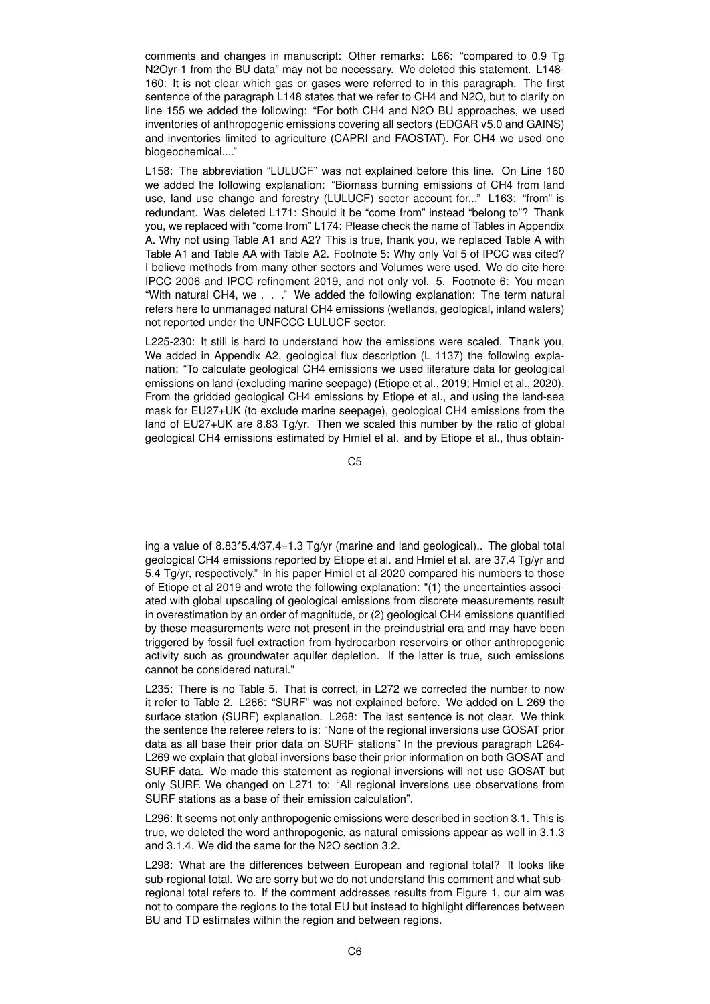comments and changes in manuscript: Other remarks: L66: "compared to 0.9 Tg N2Oyr-1 from the BU data" may not be necessary. We deleted this statement. L148- 160: It is not clear which gas or gases were referred to in this paragraph. The first sentence of the paragraph L148 states that we refer to CH4 and N2O, but to clarify on line 155 we added the following: "For both CH4 and N2O BU approaches, we used inventories of anthropogenic emissions covering all sectors (EDGAR v5.0 and GAINS) and inventories limited to agriculture (CAPRI and FAOSTAT). For CH4 we used one biogeochemical...."

L158: The abbreviation "LULUCF" was not explained before this line. On Line 160 we added the following explanation: "Biomass burning emissions of CH4 from land use, land use change and forestry (LULUCF) sector account for..." L163: "from" is redundant. Was deleted L171: Should it be "come from" instead "belong to"? Thank you, we replaced with "come from" L174: Please check the name of Tables in Appendix A. Why not using Table A1 and A2? This is true, thank you, we replaced Table A with Table A1 and Table AA with Table A2. Footnote 5: Why only Vol 5 of IPCC was cited? I believe methods from many other sectors and Volumes were used. We do cite here IPCC 2006 and IPCC refinement 2019, and not only vol. 5. Footnote 6: You mean "With natural CH4, we . . ." We added the following explanation: The term natural refers here to unmanaged natural CH4 emissions (wetlands, geological, inland waters) not reported under the UNFCCC LULUCF sector.

L225-230: It still is hard to understand how the emissions were scaled. Thank you, We added in Appendix A2, geological flux description (L 1137) the following explanation: "To calculate geological CH4 emissions we used literature data for geological emissions on land (excluding marine seepage) (Etiope et al., 2019; Hmiel et al., 2020). From the gridded geological CH4 emissions by Etiope et al., and using the land-sea mask for EU27+UK (to exclude marine seepage), geological CH4 emissions from the land of EU27+UK are 8.83 Tg/yr. Then we scaled this number by the ratio of global geological CH4 emissions estimated by Hmiel et al. and by Etiope et al., thus obtain-

C5

ing a value of 8.83\*5.4/37.4=1.3 Tg/yr (marine and land geological).. The global total geological CH4 emissions reported by Etiope et al. and Hmiel et al. are 37.4 Tg/yr and 5.4 Tg/yr, respectively." In his paper Hmiel et al 2020 compared his numbers to those of Etiope et al 2019 and wrote the following explanation: "(1) the uncertainties associated with global upscaling of geological emissions from discrete measurements result in overestimation by an order of magnitude, or (2) geological CH4 emissions quantified by these measurements were not present in the preindustrial era and may have been triggered by fossil fuel extraction from hydrocarbon reservoirs or other anthropogenic activity such as groundwater aquifer depletion. If the latter is true, such emissions cannot be considered natural."

L235: There is no Table 5. That is correct, in L272 we corrected the number to now it refer to Table 2. L266: "SURF" was not explained before. We added on L 269 the surface station (SURF) explanation. L268: The last sentence is not clear. We think the sentence the referee refers to is: "None of the regional inversions use GOSAT prior data as all base their prior data on SURF stations" In the previous paragraph L264- L269 we explain that global inversions base their prior information on both GOSAT and SURF data. We made this statement as regional inversions will not use GOSAT but only SURF. We changed on L271 to: "All regional inversions use observations from SURF stations as a base of their emission calculation".

L296: It seems not only anthropogenic emissions were described in section 3.1. This is true, we deleted the word anthropogenic, as natural emissions appear as well in 3.1.3 and 3.1.4. We did the same for the N2O section 3.2.

L298: What are the differences between European and regional total? It looks like sub-regional total. We are sorry but we do not understand this comment and what subregional total refers to. If the comment addresses results from Figure 1, our aim was not to compare the regions to the total EU but instead to highlight differences between BU and TD estimates within the region and between regions.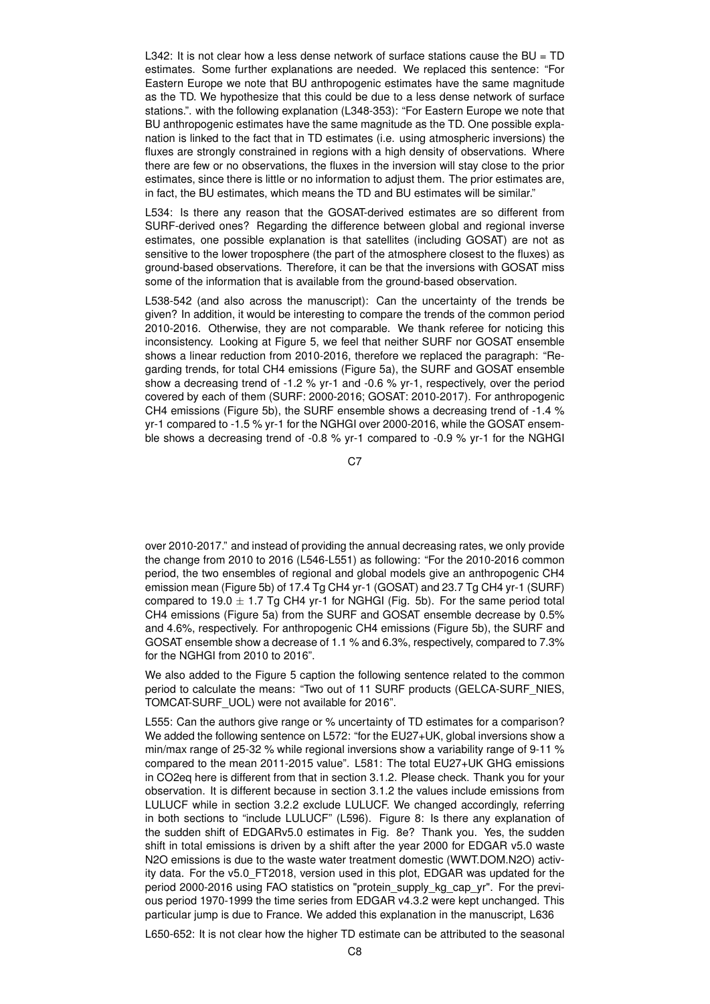L342: It is not clear how a less dense network of surface stations cause the  $BU = TD$ estimates. Some further explanations are needed. We replaced this sentence: "For Eastern Europe we note that BU anthropogenic estimates have the same magnitude as the TD. We hypothesize that this could be due to a less dense network of surface stations.". with the following explanation (L348-353): "For Eastern Europe we note that BU anthropogenic estimates have the same magnitude as the TD. One possible explanation is linked to the fact that in TD estimates (i.e. using atmospheric inversions) the fluxes are strongly constrained in regions with a high density of observations. Where there are few or no observations, the fluxes in the inversion will stay close to the prior estimates, since there is little or no information to adjust them. The prior estimates are, in fact, the BU estimates, which means the TD and BU estimates will be similar."

L534: Is there any reason that the GOSAT-derived estimates are so different from SURF-derived ones? Regarding the difference between global and regional inverse estimates, one possible explanation is that satellites (including GOSAT) are not as sensitive to the lower troposphere (the part of the atmosphere closest to the fluxes) as ground-based observations. Therefore, it can be that the inversions with GOSAT miss some of the information that is available from the ground-based observation.

L538-542 (and also across the manuscript): Can the uncertainty of the trends be given? In addition, it would be interesting to compare the trends of the common period 2010-2016. Otherwise, they are not comparable. We thank referee for noticing this inconsistency. Looking at Figure 5, we feel that neither SURF nor GOSAT ensemble shows a linear reduction from 2010-2016, therefore we replaced the paragraph: "Regarding trends, for total CH4 emissions (Figure 5a), the SURF and GOSAT ensemble show a decreasing trend of -1.2 % yr-1 and -0.6 % yr-1, respectively, over the period covered by each of them (SURF: 2000-2016; GOSAT: 2010-2017). For anthropogenic CH4 emissions (Figure 5b), the SURF ensemble shows a decreasing trend of -1.4 % yr-1 compared to -1.5 % yr-1 for the NGHGI over 2000-2016, while the GOSAT ensemble shows a decreasing trend of -0.8 % yr-1 compared to -0.9 % yr-1 for the NGHGI

C7

over 2010-2017." and instead of providing the annual decreasing rates, we only provide the change from 2010 to 2016 (L546-L551) as following: "For the 2010-2016 common period, the two ensembles of regional and global models give an anthropogenic CH4 emission mean (Figure 5b) of 17.4 Tg CH4 yr-1 (GOSAT) and 23.7 Tg CH4 yr-1 (SURF) compared to 19.0  $\pm$  1.7 Tg CH4 yr-1 for NGHGI (Fig. 5b). For the same period total CH4 emissions (Figure 5a) from the SURF and GOSAT ensemble decrease by 0.5% and 4.6%, respectively. For anthropogenic CH4 emissions (Figure 5b), the SURF and GOSAT ensemble show a decrease of 1.1 % and 6.3%, respectively, compared to 7.3% for the NGHGI from 2010 to 2016".

We also added to the Figure 5 caption the following sentence related to the common period to calculate the means: "Two out of 11 SURF products (GELCA-SURF\_NIES, TOMCAT-SURF\_UOL) were not available for 2016".

L555: Can the authors give range or % uncertainty of TD estimates for a comparison? We added the following sentence on L572: "for the EU27+UK, global inversions show a min/max range of 25-32 % while regional inversions show a variability range of 9-11 % compared to the mean 2011-2015 value". L581: The total EU27+UK GHG emissions in CO2eq here is different from that in section 3.1.2. Please check. Thank you for your observation. It is different because in section 3.1.2 the values include emissions from LULUCF while in section 3.2.2 exclude LULUCF. We changed accordingly, referring in both sections to "include LULUCF" (L596). Figure 8: Is there any explanation of the sudden shift of EDGARv5.0 estimates in Fig. 8e? Thank you. Yes, the sudden shift in total emissions is driven by a shift after the year 2000 for EDGAR v5.0 waste N2O emissions is due to the waste water treatment domestic (WWT.DOM.N2O) activity data. For the v5.0\_FT2018, version used in this plot, EDGAR was updated for the period 2000-2016 using FAO statistics on "protein\_supply\_kg\_cap\_yr". For the previous period 1970-1999 the time series from EDGAR v4.3.2 were kept unchanged. This particular jump is due to France. We added this explanation in the manuscript, L636

L650-652: It is not clear how the higher TD estimate can be attributed to the seasonal